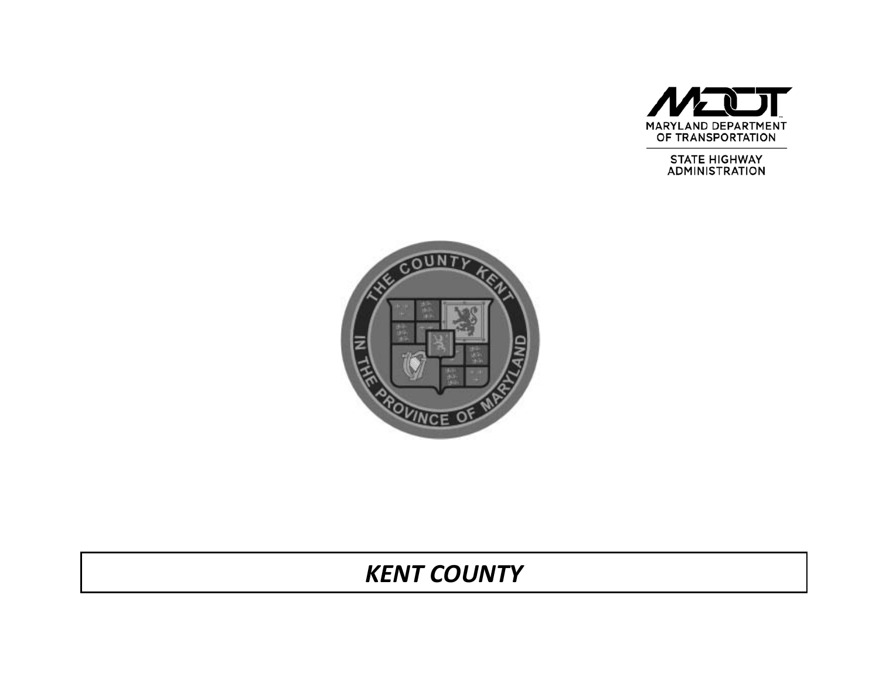

**STATE HIGHWAY ADMINISTRATION** 



# *KENT COUNTY*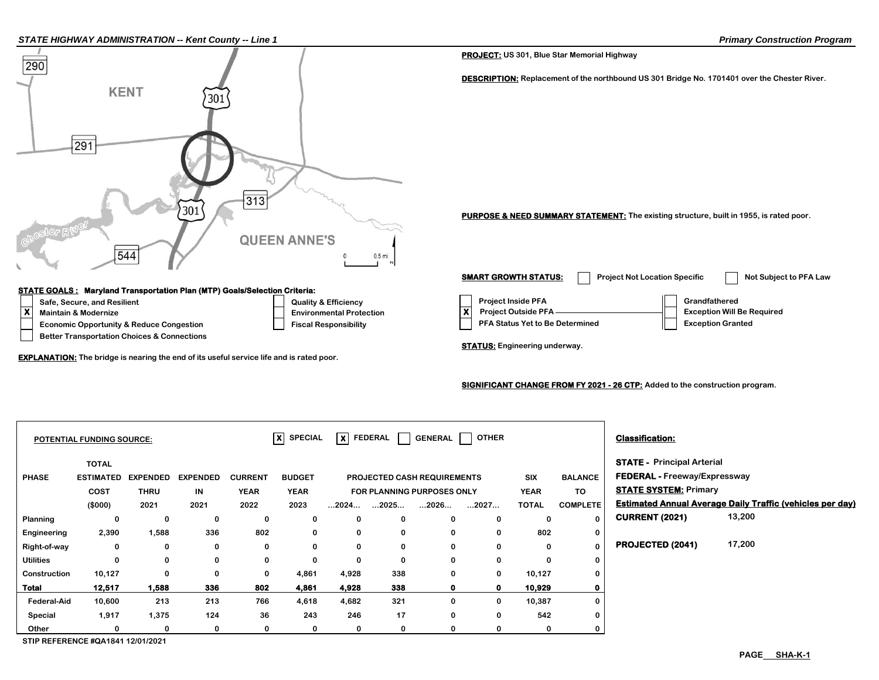#### *STATE HIGHWAY ADMINISTRATION -- Kent County -- Line 1 Primary Construction Program*



#### **SIGNIFICANT CHANGE FROM FY 2021 - 26 CTP: Added to the construction program.**

| <b>POTENTIAL FUNDING SOURCE:</b> |                  |                 |                 | $ X $ SPECIAL<br>$\overline{\mathsf{x}}$ FEDERAL<br>  OTHER<br><b>GENERAL</b> |               |                                   |                      |                      |            |                              |                                     | <b>Classification:</b>            |                                                                  |
|----------------------------------|------------------|-----------------|-----------------|-------------------------------------------------------------------------------|---------------|-----------------------------------|----------------------|----------------------|------------|------------------------------|-------------------------------------|-----------------------------------|------------------------------------------------------------------|
|                                  | <b>TOTAL</b>     |                 |                 |                                                                               |               |                                   |                      |                      |            |                              |                                     | <b>STATE - Principal Arterial</b> |                                                                  |
| <b>PHASE</b>                     | <b>ESTIMATED</b> | <b>EXPENDED</b> | <b>EXPENDED</b> | <b>CURRENT</b>                                                                | <b>BUDGET</b> | PROJECTED CASH REQUIREMENTS       |                      |                      | <b>SIX</b> | <b>BALANCE</b>               | <b>FEDERAL - Freeway/Expressway</b> |                                   |                                                                  |
|                                  | COST             | <b>THRU</b>     | IN              | <b>YEAR</b>                                                                   | <b>YEAR</b>   | <b>FOR PLANNING PURPOSES ONLY</b> |                      | <b>YEAR</b>          | TO         | <b>STATE SYSTEM: Primary</b> |                                     |                                   |                                                                  |
|                                  | (\$000)          | 2021            | 2021            | 2022                                                                          | 2023          | $\dots$ 2024                      | $\dots$ 2025 $\dots$ | $\dots$ 2026 $\dots$ | 2027       | <b>TOTAL</b>                 | <b>COMPLETE</b>                     |                                   | <b>Estimated Annual Average Daily Traffic (vehicles per day)</b> |
| Planning                         | 0                | 0               | 0               | 0                                                                             | 0             | 0                                 | 0                    | 0                    | 0          | 0                            | $\Omega$                            | <b>CURRENT (2021)</b>             | 13,200                                                           |
| Engineering                      | 2,390            | 1,588           | 336             | 802                                                                           | 0             | 0                                 | 0                    | 0                    | $\Omega$   | 802                          | 0                                   |                                   |                                                                  |
| Right-of-way                     | 0                | 0               | 0               | 0                                                                             | 0             | 0                                 | 0                    | 0                    |            | 0                            | $\Omega$                            | PROJECTED (2041)                  | 17,200                                                           |
| <b>Utilities</b>                 | 0                | 0               | 0               | 0                                                                             | 0             | 0                                 | 0                    | 0                    | $\Omega$   | 0                            | $\mathbf 0$                         |                                   |                                                                  |
| Construction                     | 10,127           | $\mathbf 0$     | $\bf{0}$        | $\mathbf 0$                                                                   | 4,861         | 4,928                             | 338                  | $\mathbf 0$          | $\bf{0}$   | 10,127                       | $\Omega$                            |                                   |                                                                  |
| <b>Total</b>                     | 12,517           | 1,588           | 336             | 802                                                                           | 4,861         | 4,928                             | 338                  | $\mathbf{0}$         |            | 10,929                       | 0                                   |                                   |                                                                  |
| <b>Federal-Aid</b>               | 10,600           | 213             | 213             | 766                                                                           | 4,618         | 4,682                             | 321                  | 0                    | 0          | 10,387                       | 0                                   |                                   |                                                                  |
| Special                          | 1,917            | 1,375           | 124             | 36                                                                            | 243           | 246                               | 17                   | $\bf{0}$             | 0          | 542                          | $\Omega$                            |                                   |                                                                  |
| Other                            |                  | 0               | 0               | 0                                                                             | 0             | 0                                 | 0                    | 0                    |            | 0                            |                                     |                                   |                                                                  |

**STIP REFERENCE #QA1841 12/01/2021**